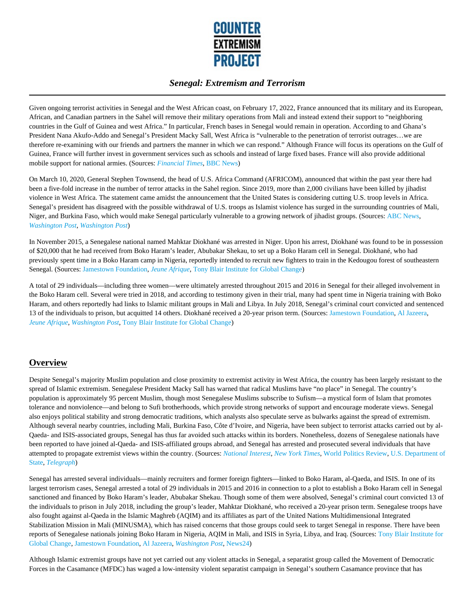

Given ongoing terrorist activities in Senegal and the West African coast, on February 17, 2022, France announced that its military and its European, African, and Canadian partners in the Sahel will remove their military operations from Mali and instead extend their support to "neighboring countries in the Gulf of Guinea and west Africa." In particular, French bases in Senegal would remain in operation. According to and Ghana's President Nana Akufo-Addo and Senegal's President Macky Sall, West Africa is "vulnerable to the penetration of terrorist outrages…we are therefore re-examining with our friends and partners the manner in which we can respond." Although France will focus its operations on the Gulf of Guinea, France will further invest in government services such as schools and instead of large fixed bases. France will also provide additional mobile support for national armies. (Sources: *Financial Times*, BBC News)

On March 10, 2020, General Stephen Townsend, the head of U.S. Africa Command (AFRICOM), announced that within the past year there had been a five-fold increase in the number of terror attacks in the Sahel region. Since 2019, more than 2,000 civilians have been killed by jihadist violence in West Africa. The statement came amidst the announcement that the United States is considering cutting U.S. troop levels in Africa. Senegal's president has disagreed with the possible withdrawal of U.S. troops as Islamist violence has surged in the surrounding countries of Mali, Niger, and Burkina Faso, which would make Senegal particularly vulnerable to a growing network of jihadist groups. (Sources: ABC News, *Washington Post*, *Washington Post*)

In November 2015, a Senegalese national named Mahktar Diokhané was arrested in Niger. Upon his arrest, Diokhané was found to be in possession of \$20,000 that he had received from Boko Haram's leader, Abubakar Shekau, to set up a Boko Haram cell in Senegal. Diokhané, who had previously spent time in a Boko Haram camp in Nigeria, reportedly intended to recruit new fighters to train in the Kedougou forest of southeastern Senegal. (Sources: Jamestown Foundation, *Jeune Afrique*, Tony Blair Institute for Global Change)

A total of 29 individuals––including three women––were ultimately arrested throughout 2015 and 2016 in Senegal for their alleged involvement in the Boko Haram cell. Several were tried in 2018, and according to testimony given in their trial, many had spent time in Nigeria training with Boko Haram, and others reportedly had links to Islamic militant groups in Mali and Libya. In July 2018, Senegal's criminal court convicted and sentenced 13 of the individuals to prison, but acquitted 14 others. Diokhané received a 20-year prison term. (Sources: Jamestown Foundation, Al Jazeera, *Jeune Afrique, Washington Post*, Tony Blair Institute for Global Change)

# **Overview**

Despite Senegal's majority Muslim population and close proximity to extremist activity in West Africa, the country has been largely resistant to the spread of Islamic extremism. Senegalese President Macky Sall has warned that radical Muslims have "no place" in Senegal. The country's population is approximately 95 percent Muslim, though most Senegalese Muslims subscribe to Sufism––a mystical form of Islam that promotes tolerance and nonviolence––and belong to Sufi brotherhoods, which provide strong networks of support and encourage moderate views. Senegal also enjoys political stability and strong democratic traditions, which analysts also speculate serve as bulwarks against the spread of extremism. Although several nearby countries, including Mali, Burkina Faso, Côte d'Ivoire, and Nigeria, have been subject to terrorist attacks carried out by al-Qaeda- and ISIS-associated groups, Senegal has thus far avoided such attacks within its borders. Nonetheless, dozens of Senegalese nationals have been reported to have joined al-Qaeda- and ISIS-affiliated groups abroad, and Senegal has arrested and prosecuted several individuals that have attempted to propagate extremist views within the country. (Sources: *National Interest*, *New York Times*, World Politics Review, U.S. Department of State, *Telegraph*)

Senegal has arrested several individuals––mainly recruiters and former foreign fighters––linked to Boko Haram, al-Qaeda, and ISIS. In one of its largest terrorism cases, Senegal arrested a total of 29 individuals in 2015 and 2016 in connection to a plot to establish a Boko Haram cell in Senegal sanctioned and financed by Boko Haram's leader, Abubakar Shekau. Though some of them were absolved, Senegal's criminal court convicted 13 of the individuals to prison in July 2018, including the group's leader, Mahktar Diokhané, who received a 20-year prison term. Senegalese troops have also fought against al-Qaeda in the Islamic Maghreb (AQIM) and its affiliates as part of the United Nations Multidimensional Integrated Stabilization Mission in Mali (MINUSMA), which has raised concerns that those groups could seek to target Senegal in response. There have been reports of Senegalese nationals joining Boko Haram in Nigeria, AQIM in Mali, and ISIS in Syria, Libya, and Iraq. (Sources: Tony Blair Institute for Global Change, Jamestown Foundation, Al Jazeera, *Washington Post*, News24)

Although Islamic extremist groups have not yet carried out any violent attacks in Senegal, a separatist group called the Movement of Democratic Forces in the Casamance (MFDC) has waged a low-intensity violent separatist campaign in Senegal's southern Casamance province that has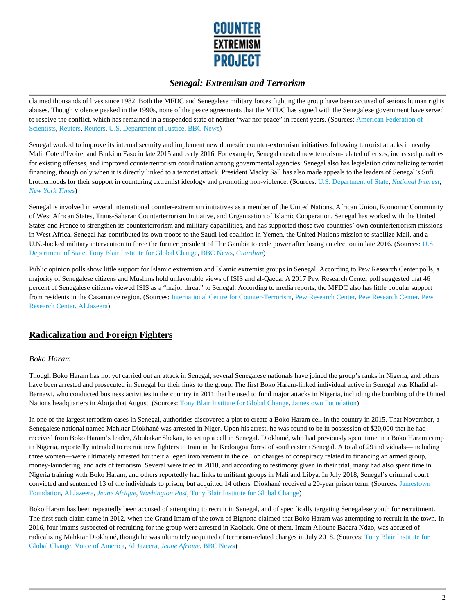

claimed thousands of lives since 1982. Both the MFDC and Senegalese military forces fighting the group have been accused of serious human rights abuses. Though violence peaked in the 1990s, none of the peace agreements that the MFDC has signed with the Senegalese government have served to resolve the conflict, which has remained in a suspended state of neither "war nor peace" in recent years. (Sources: American Federation of Scientists, Reuters, Reuters, U.S. Department of Justice, BBC News)

Senegal worked to improve its internal security and implement new domestic counter-extremism initiatives following terrorist attacks in nearby Mali, Cote d'Ivoire, and Burkino Faso in late 2015 and early 2016. For example, Senegal created new terrorism-related offenses, increased penalties for existing offenses, and improved counterterrorism coordination among governmental agencies. Senegal also has legislation criminalizing terrorist financing, though only when it is directly linked to a terrorist attack. President Macky Sall has also made appeals to the leaders of Senegal's Sufi brotherhoods for their support in countering extremist ideology and promoting non-violence. (Sources: U.S. Department of State, *National Interest*, *New York Times*)

Senegal is involved in several international counter-extremism initiatives as a member of the United Nations, African Union, Economic Community of West African States, Trans-Saharan Counterterrorism Initiative, and Organisation of Islamic Cooperation. Senegal has worked with the United States and France to strengthen its counterterrorism and military capabilities, and has supported those two countries' own counterterrorism missions in West Africa. Senegal has contributed its own troops to the Saudi-led coalition in Yemen, the United Nations mission to stabilize Mali, and a U.N.-backed military intervention to force the former president of The Gambia to cede power after losing an election in late 2016. (Sources: U.S. Department of State, Tony Blair Institute for Global Change, BBC News, *Guardian*)

Public opinion polls show little support for Islamic extremism and Islamic extremist groups in Senegal. According to Pew Research Center polls, a majority of Senegalese citizens and Muslims hold unfavorable views of ISIS and al-Qaeda. A 2017 Pew Research Center poll suggested that 46 percent of Senegalese citizens viewed ISIS as a "major threat" to Senegal. According to media reports, the MFDC also has little popular support from residents in the Casamance region. (Sources: International Centre for Counter-Terrorism, Pew Research Center, Pew Research Center, Pew Research Center, Al Jazeera)

# **Radicalization and Foreign Fighters**

#### *Boko Haram*

Though Boko Haram has not yet carried out an attack in Senegal, several Senegalese nationals have joined the group's ranks in Nigeria, and others have been arrested and prosecuted in Senegal for their links to the group. The first Boko Haram-linked individual active in Senegal was Khalid al-Barnawi, who conducted business activities in the country in 2011 that he used to fund major attacks in Nigeria, including the bombing of the United Nations headquarters in Abuja that August. (Sources: Tony Blair Institute for Global Change, Jamestown Foundation)

In one of the largest terrorism cases in Senegal, authorities discovered a plot to create a Boko Haram cell in the country in 2015. That November, a Senegalese national named Mahktar Diokhané was arrested in Niger. Upon his arrest, he was found to be in possession of \$20,000 that he had received from Boko Haram's leader, Abubakar Shekau, to set up a cell in Senegal. Diokhané, who had previously spent time in a Boko Haram camp in Nigeria, reportedly intended to recruit new fighters to train in the Kedougou forest of southeastern Senegal. A total of 29 individuals––including three women––were ultimately arrested for their alleged involvement in the cell on charges of conspiracy related to financing an armed group, money-laundering, and acts of terrorism. Several were tried in 2018, and according to testimony given in their trial, many had also spent time in Nigeria training with Boko Haram, and others reportedly had links to militant groups in Mali and Libya. In July 2018, Senegal's criminal court convicted and sentenced 13 of the individuals to prison, but acquitted 14 others. Diokhané received a 20-year prison term. (Sources: Jamestown Foundation, Al Jazeera, *Jeune Afrique, Washington Post*, Tony Blair Institute for Global Change)

Boko Haram has been repeatedly been accused of attempting to recruit in Senegal, and of specifically targeting Senegalese youth for recruitment. The first such claim came in 2012, when the Grand Imam of the town of Bignona claimed that Boko Haram was attempting to recruit in the town. In 2016, four imams suspected of recruiting for the group were arrested in Kaolack. One of them, Imam Alioune Badara Ndao, was accused of radicalizing Mahktar Diokhané, though he was ultimately acquitted of terrorism-related charges in July 2018. (Sources: Tony Blair Institute for Global Change, Voice of America, Al Jazeera, *Jeune Afrique,* BBC News)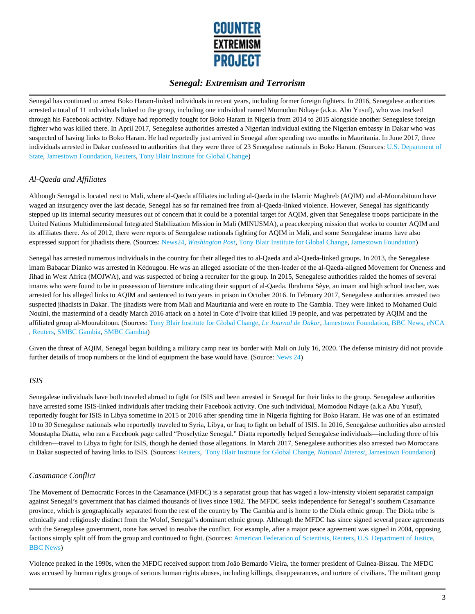

Senegal has continued to arrest Boko Haram-linked individuals in recent years, including former foreign fighters. In 2016, Senegalese authorities arrested a total of 11 individuals linked to the group, including one individual named Momodou Ndiaye (a.k.a. Abu Yusuf), who was tracked through his Facebook activity. Ndiaye had reportedly fought for Boko Haram in Nigeria from 2014 to 2015 alongside another Senegalese foreign fighter who was killed there. In April 2017, Senegalese authorities arrested a Nigerian individual exiting the Nigerian embassy in Dakar who was suspected of having links to Boko Haram. He had reportedly just arrived in Senegal after spending two months in Mauritania. In June 2017, three individuals arrested in Dakar confessed to authorities that they were three of 23 Senegalese nationals in Boko Haram. (Sources: U.S. Department of State, Jamestown Foundation, Reuters, Tony Blair Institute for Global Change)

## *Al-Qaeda and Affiliates*

Although Senegal is located next to Mali, where al-Qaeda affiliates including al-Qaeda in the Islamic Maghreb (AQIM) and al-Mourabitoun have waged an insurgency over the last decade, Senegal has so far remained free from al-Qaeda-linked violence. However, Senegal has significantly stepped up its internal security measures out of concern that it could be a potential target for AQIM, given that Senegalese troops participate in the United Nations Multidimensional Integrated Stabilization Mission in Mali (MINUSMA), a peacekeeping mission that works to counter AQIM and its affiliates there. As of 2012, there were reports of Senegalese nationals fighting for AQIM in Mali, and some Senegalese imams have also expressed support for jihadists there. (Sources: News24, *Washington Post,* Tony Blair Institute for Global Change, Jamestown Foundation)

Senegal has arrested numerous individuals in the country for their alleged ties to al-Qaeda and al-Qaeda-linked groups. In 2013, the Senegalese imam Babacar Dianko was arrested in Kédougou. He was an alleged associate of the then-leader of the al-Qaeda-aligned Movement for Oneness and Jihad in West Africa (MOJWA), and was suspected of being a recruiter for the group. In 2015, Senegalese authorities raided the homes of several imams who were found to be in possession of literature indicating their support of al-Qaeda. Ibrahima Sèye, an imam and high school teacher, was arrested for his alleged links to AQIM and sentenced to two years in prison in October 2016. In February 2017, Senegalese authorities arrested two suspected jihadists in Dakar. The jihadists were from Mali and Mauritania and were en route to The Gambia. They were linked to Mohamed Ould Nouini, the mastermind of a deadly March 2016 attack on a hotel in Cote d'Ivoire that killed 19 people, and was perpetrated by AQIM and the affiliated group al-Mourabitoun. (Sources: Tony Blair Institute for Global Change, *Le Journal de Dakar*, Jamestown Foundation, BBC News, eNCA , Reuters, SMBC Gambia, SMBC Gambia)

Given the threat of AQIM, Senegal began building a military camp near its border with Mali on July 16, 2020. The defense ministry did not provide further details of troop numbers or the kind of equipment the base would have. (Source: News 24)

#### *ISIS*

Senegalese individuals have both traveled abroad to fight for ISIS and been arrested in Senegal for their links to the group. Senegalese authorities have arrested some ISIS-linked individuals after tracking their Facebook activity. One such individual, Momodou Ndiaye (a.k.a Abu Yusuf), reportedly fought for ISIS in Libya sometime in 2015 or 2016 after spending time in Nigeria fighting for Boko Haram. He was one of an estimated 10 to 30 Senegalese nationals who reportedly traveled to Syria, Libya, or Iraq to fight on behalf of ISIS. In 2016, Senegalese authorities also arrested Moustapha Diatta, who ran a Facebook page called "Proselytize Senegal." Diatta reportedly helped Senegalese individuals––including three of his children––travel to Libya to fight for ISIS, though he denied those allegations. In March 2017, Senegalese authorities also arrested two Moroccans in Dakar suspected of having links to ISIS. (Sources: Reuters, Tony Blair Institute for Global Change, *National Interest*, Jamestown Foundation)

#### *Casamance Conflict*

The Movement of Democratic Forces in the Casamance (MFDC) is a separatist group that has waged a low-intensity violent separatist campaign against Senegal's government that has claimed thousands of lives since 1982. The MFDC seeks independence for Senegal's southern Casamance province, which is geographically separated from the rest of the country by The Gambia and is home to the Diola ethnic group. The Diola tribe is ethnically and religiously distinct from the Wolof, Senegal's dominant ethnic group. Although the MFDC has since signed several peace agreements with the Senegalese government, none has served to resolve the conflict. For example, after a major peace agreement was signed in 2004, opposing factions simply split off from the group and continued to fight. (Sources: American Federation of Scientists, Reuters, U.S. Department of Justice, BBC News)

Violence peaked in the 1990s, when the MFDC received support from João Bernardo Vieira, the former president of Guinea-Bissau. The MFDC was accused by human rights groups of serious human rights abuses, including killings, disappearances, and torture of civilians. The militant group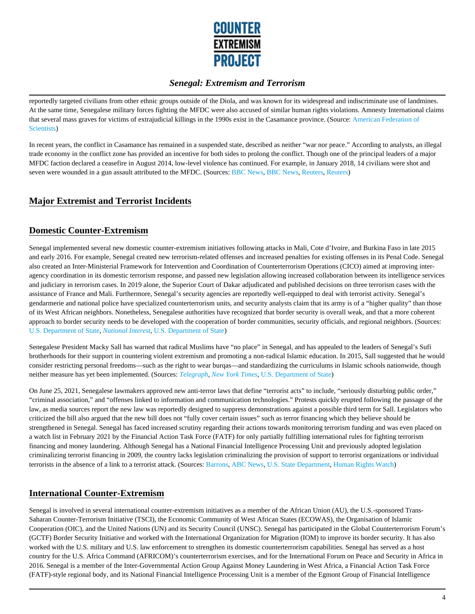

reportedly targeted civilians from other ethnic groups outside of the Diola, and was known for its widespread and indiscriminate use of landmines. At the same time, Senegalese military forces fighting the MFDC were also accused of similar human rights violations. Amnesty International claims that several mass graves for victims of extrajudicial killings in the 1990s exist in the Casamance province. (Source: American Federation of Scientists)

In recent years, the conflict in Casamance has remained in a suspended state, described as neither "war nor peace." According to analysts, an illegal trade economy in the conflict zone has provided an incentive for both sides to prolong the conflict. Though one of the principal leaders of a major MFDC faction declared a ceasefire in August 2014, low-level violence has continued. For example, in January 2018, 14 civilians were shot and seven were wounded in a gun assault attributed to the MFDC. (Sources: BBC News, BBC News, Reuters, Reuters)

# **Major Extremist and Terrorist Incidents**

# **Domestic Counter-Extremism**

Senegal implemented several new domestic counter-extremism initiatives following attacks in Mali, Cote d'Ivoire, and Burkina Faso in late 2015 and early 2016. For example, Senegal created new terrorism-related offenses and increased penalties for existing offenses in its Penal Code. Senegal also created an Inter-Ministerial Framework for Intervention and Coordination of Counterterrorism Operations (CICO) aimed at improving interagency coordination in its domestic terrorism response, and passed new legislation allowing increased collaboration between its intelligence services and judiciary in terrorism cases. In 2019 alone, the Superior Court of Dakar adjudicated and published decisions on three terrorism cases with the assistance of France and Mali. Furthermore, Senegal's security agencies are reportedly well-equipped to deal with terrorist activity. Senegal's gendarmerie and national police have specialized counterterrorism units, and security analysts claim that its army is of a "higher quality" than those of its West African neighbors. Nonetheless, Senegalese authorities have recognized that border security is overall weak, and that a more coherent approach to border security needs to be developed with the cooperation of border communities, security officials, and regional neighbors. (Sources: U.S. Department of State, *National Interest*, U.S. Department of State)

Senegalese President Macky Sall has warned that radical Muslims have "no place" in Senegal, and has appealed to the leaders of Senegal's Sufi brotherhoods for their support in countering violent extremism and promoting a non-radical Islamic education. In 2015, Sall suggested that he would consider restricting personal freedoms––such as the right to wear burqas––and standardizing the curriculums in Islamic schools nationwide, though neither measure has yet been implemented. (Sources: *Telegraph*, *New York Times,* U.S. Department of State)

On June 25, 2021, Senegalese lawmakers approved new anti-terror laws that define "terrorist acts" to include, "seriously disturbing public order," "criminal association," and "offenses linked to information and communication technologies." Protests quickly erupted following the passage of the law, as media sources report the new law was reportedly designed to suppress demonstrations against a possible third term for Sall. Legislators who criticized the bill also argued that the new bill does not "fully cover certain issues" such as terror financing which they believe should be strengthened in Senegal. Senegal has faced increased scrutiny regarding their actions towards monitoring terrorism funding and was even placed on a watch list in February 2021 by the Financial Action Task Force (FATF) for only partially fulfilling international rules for fighting terrorism financing and money laundering. Although Senegal has a National Financial Intelligence Processing Unit and previously adopted legislation criminalizing terrorist financing in 2009, the country lacks legislation criminalizing the provision of support to terrorist organizations or individual terrorists in the absence of a link to a terrorist attack. (Sources: Barrons, ABC News, U.S. State Department, Human Rights Watch)

# **International Counter-Extremism**

Senegal is involved in several international counter-extremism initiatives as a member of the African Union (AU), the U.S.-sponsored Trans-Saharan Counter-Terrorism Initiative (TSCI), the Economic Community of West African States (ECOWAS), the Organisation of Islamic Cooperation (OIC), and the United Nations (UN) and its Security Council (UNSC). Senegal has participated in the Global Counterterrorism Forum's (GCTF) Border Security Initiative and worked with the International Organization for Migration (IOM) to improve its border security. It has also worked with the U.S. military and U.S. law enforcement to strengthen its domestic counterterrorism capabilities. Senegal has served as a host country for the U.S. Africa Command (AFRICOM)'s counterterrorism exercises, and for the International Forum on Peace and Security in Africa in 2016. Senegal is a member of the Inter-Governmental Action Group Against Money Laundering in West Africa, a Financial Action Task Force (FATF)-style regional body, and its National Financial Intelligence Processing Unit is a member of the Egmont Group of Financial Intelligence